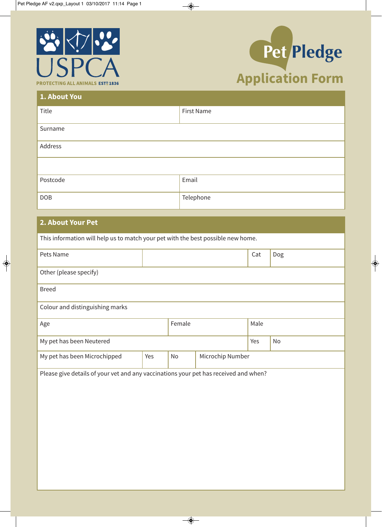



| 1. About You |            |
|--------------|------------|
| Title        | First Name |
| Surname      |            |
| Address      |            |
|              |            |
| Postcode     | Email      |
| <b>DOB</b>   | Telephone  |

## **2. About Your Pet**

| This information will help us to match your pet with the best possible new home.     |        |    |                  |     |     |  |
|--------------------------------------------------------------------------------------|--------|----|------------------|-----|-----|--|
| Pets Name                                                                            |        |    |                  | Cat | Dog |  |
| Other (please specify)                                                               |        |    |                  |     |     |  |
| <b>Breed</b>                                                                         |        |    |                  |     |     |  |
| Colour and distinguishing marks                                                      |        |    |                  |     |     |  |
| Age                                                                                  | Female |    | Male             |     |     |  |
| My pet has been Neutered                                                             |        |    | Yes              | No  |     |  |
| My pet has been Microchipped                                                         | Yes    | No | Microchip Number |     |     |  |
| Please give details of your vet and any vaccinations your pet has received and when? |        |    |                  |     |     |  |